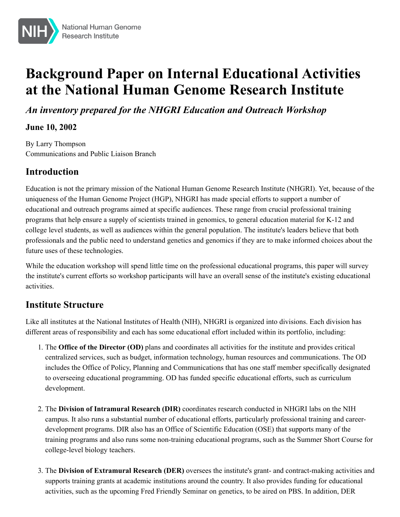

# **Background Paper on Internal Educational Activities at the National Human Genome Research Institute**

*An inventory prepared for the NHGRI Education and Outreach Workshop*

#### **June 10, 2002**

By Larry Thompson Communications and Public Liaison Branch

# **Introduction**

Education is not the primary mission of the National Human Genome Research Institute (NHGRI). Yet, because of the uniqueness of the Human Genome Project (HGP), NHGRI has made special efforts to support a number of educational and outreach programs aimed at specific audiences. These range from crucial professional training programs that help ensure a supply of scientists trained in genomics, to general education material for K-12 and college level students, as well as audiences within the general population. The institute's leaders believe that both professionals and the public need to understand genetics and genomics if they are to make informed choices about the future uses of these technologies.

While the education workshop will spend little time on the professional educational programs, this paper will survey the institute's current efforts so workshop participants will have an overall sense of the institute's existing educational activities.

# **Institute Structure**

Like all institutes at the National Institutes of Health (NIH), NHGRI is organized into divisions. Each division has different areas of responsibility and each has some educational effort included within its portfolio, including:

- 1. The **[Office of the Director \(OD\)](https://harpo.genome.gov/10000974/office-of-the-director/)** plans and coordinates all activities for the institute and provides critical centralized services, such as budget, information technology, human resources and communications. The OD includes the Office of Policy, Planning and Communications that has one staff member specifically designated to overseeing educational programming. OD has funded specific educational efforts, such as curriculum development.
- 2. The **[Division of Intramural Research \(DIR\)](https://harpo.genome.gov/10001036/division-of-intramural-research-offices-and-administration/)** coordinates research conducted in NHGRI labs on the NIH campus. It also runs a substantial number of educational efforts, particularly professional training and careerdevelopment programs. DIR also has an Office of Scientific Education (OSE) that supports many of the training programs and also runs some non-training educational programs, such as the Summer Short Course for college-level biology teachers.
- 3. The **Division of Extramural Research (DER)** oversees the institute's grant- and contract-making activities and supports training grants at academic institutions around the country. It also provides funding for educational activities, such as the upcoming Fred Friendly Seminar on genetics, to be aired on PBS. In addition, DER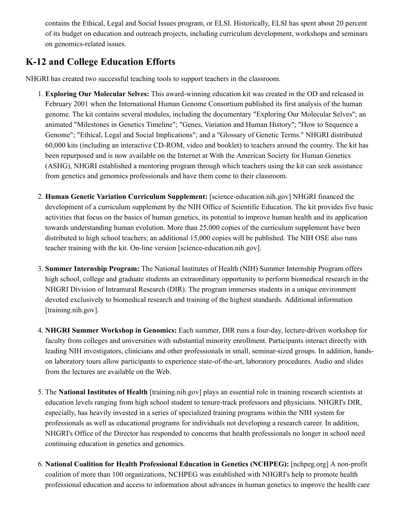contains the Ethical, Legal and Social Issues program, or ELSI. Historically, ELSI has spent about 20 percent of its budget on education and outreach projects, including curriculum development, workshops and seminars on genomics-related issues.

### **K-12 and College Education Efforts**

NHGRI has created two successful teaching tools to support teachers in the classroom.

- 1. **[Exploring Our Molecular Selves:](https://harpo.genome.gov/25019879/online-education-kit-understanding-the-human-genome-project/)** This award-winning education kit was created in the OD and released in February 2001 when the International Human Genome Consortium published its first analysis of the human genome. The kit contains several modules, including the documentary "Exploring Our Molecular Selves"; an animated "Milestones in Genetics Timeline"; "Genes, Variation and Human History"; "How to Sequence a Genome"; "Ethical, Legal and Social Implications"; and a "Glossary of Genetic Terms." NHGRI distributed 60,000 kits (including an interactive CD-ROM, video and booklet) to teachers around the country. The kit has been repurposed and is now available on the Internet at With the American Society for Human Genetics (ASHG), NHGRI established a mentoring program through which teachers using the kit can seek assistance from genetics and genomics professionals and have them come to their classroom.
- 2. **[Human Genetic Variation Curriculum Supplement:](http://science-education.nih.gov/Customers.nsf/HSGenetic?OpenForm&CS_11=false&CS_12=false&CS_13=false&CS_22=false&)** [science-education.nih.gov] NHGRI financed the development of a curriculum supplement by the NIH Office of Scientific Education. The kit provides five basic activities that focus on the basics of human genetics, its potential to improve human health and its application towards understanding human evolution. More than 25,000 copies of the curriculum supplement have been distributed to high school teachers; an additional 15,000 copies will be published. The NIH OSE also runs teacher training with the kit. [On-line version](http://science-education.nih.gov/supplements/nih1/genetic/) [science-education.nih.gov].
- 3. **[Summer Internship Program:](https://harpo.genome.gov/10000218/summer-internship-program-in-biomedical-research/)** The National Institutes of Health (NIH) Summer Internship Program offers high school, college and graduate students an extraordinary opportunity to perform biomedical research in the NHGRI Division of Intramural Research (DIR). The program immerses students in a unique environment devoted exclusively to biomedical research and training of the highest standards. [Additional information](http://www.training.nih.gov/student/sip/) [training.nih.gov].
- 4. **[NHGRI Summer Workshop in Genomics:](https://harpo.genome.gov/10000217/nhgri-short-course-in-genomics/)** Each summer, DIR runs a four-day, lecture-driven workshop for faculty from colleges and universities with substantial minority enrollment. Participants interact directly with leading NIH investigators, clinicians and other professionals in small, seminar-sized groups. In addition, handson laboratory tours allow participants to experience state-of-the-art, laboratory procedures. Audio and slides from the lectures are available on the Web.
- 5. The **[National Institutes of Health](http://www.training.nih.gov/)** [training.nih.gov] plays an essential role in training research scientists at education levels ranging from high school student to tenure-track professors and physicians. NHGRI's DIR, especially, has heavily invested in a series of specialized training programs within the NIH system for professionals as well as educational programs for individuals not developing a research career. In addition, NHGRI's Office of the Director has responded to concerns that health professionals no longer in school need continuing education in genetics and genomics.
- 6. **[National Coalition for Health Professional Education in Genetics \(NCHPEG\):](http://www.nchpeg.org/)** [nchpeg.org] A non-profit coalition of more than 100 organizations, NCHPEG was established with NHGRI's help to promote health professional education and access to information about advances in human genetics to improve the health care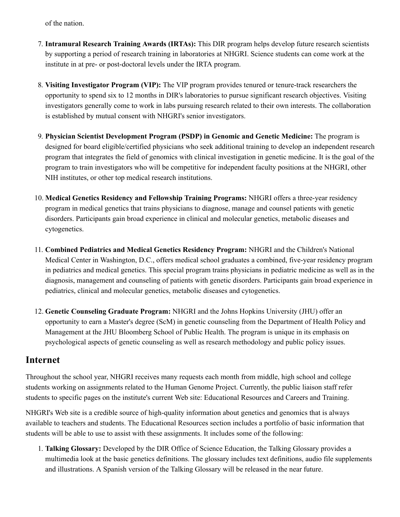of the nation.

- 7. **Intramural Research Training Awards (IRTAs):** This DIR program helps develop future research scientists by supporting a period of research training in laboratories at NHGRI. Science students can come work at the institute in at pre- or post-doctoral levels under the IRTA program.
- 8. **Visiting Investigator Program (VIP):** The VIP program provides tenured or tenure-track researchers the opportunity to spend six to 12 months in DIR's laboratories to pursue significant research objectives. Visiting investigators generally come to work in labs pursuing research related to their own interests. The collaboration is established by mutual consent with NHGRI's senior investigators.
- 9. **[Physician Scientist Development Program \(PSDP\) in Genomic and Genetic Medicine:](https://harpo.genome.gov/10002060/physician-scientist-development-program/)** The program is designed for board eligible/certified physicians who seek additional training to develop an independent research program that integrates the field of genomics with clinical investigation in genetic medicine. It is the goal of the program to train investigators who will be competitive for independent faculty positions at the NHGRI, other NIH institutes, or other top medical research institutions.
- 10. **[Medical Genetics Residency and Fellowship Training Programs:](https://harpo.genome.gov/10000555/medical-genetics-residency-and-fellowship-training/)** NHGRI offers a three-year residency program in medical genetics that trains physicians to diagnose, manage and counsel patients with genetic disorders. Participants gain broad experience in clinical and molecular genetics, metabolic diseases and cytogenetics.
- 11. **[Combined Pediatrics and Medical Genetics Residency Program:](https://harpo.genome.gov/10000987/pediatrics-and-medical-genetics-residency-program/)** NHGRI and the Children's National Medical Center in Washington, D.C., offers medical school graduates a combined, five-year residency program in pediatrics and medical genetics. This special program trains physicians in pediatric medicine as well as in the diagnosis, management and counseling of patients with genetic disorders. Participants gain broad experience in pediatrics, clinical and molecular genetics, metabolic diseases and cytogenetics.
- 12. **[Genetic Counseling Graduate Program:](https://harpo.genome.gov/10001156/genetic-counseling-training-program/)** NHGRI and the Johns Hopkins University (JHU) offer an opportunity to earn a Master's degree (ScM) in genetic counseling from the Department of Health Policy and Management at the JHU Bloomberg School of Public Health. The program is unique in its emphasis on psychological aspects of genetic counseling as well as research methodology and public policy issues.

#### **Internet**

Throughout the school year, NHGRI receives many requests each month from middle, high school and college students working on assignments related to the Human Genome Project. Currently, the public liaison staff refer students to specific pages on the institute's current Web site: [Educational Resources](https://harpo.genome.gov/Education/) and [Careers and Training.](https://harpo.genome.gov/Careers/)

NHGRI's Web site is a credible source of high-quality information about genetics and genomics that is always available to teachers and students. The Educational Resources section includes a portfolio of basic information that students will be able to use to assist with these assignments. It includes some of the following:

1. **[Talking Glossary:](https://harpo.genome.gov/Glossary)** Developed by the DIR Office of Science Education, the Talking Glossary provides a multimedia look at the basic genetics definitions. The glossary includes text definitions, audio file supplements and illustrations. A Spanish version of the Talking Glossary will be released in the near future.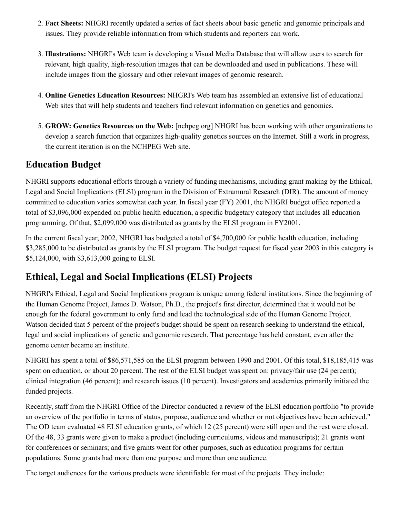- 2. **[Fact Sheets](https://harpo.genome.gov/10000202/fact-sheets/):** NHGRI recently updated a series of fact sheets about basic genetic and genomic principals and issues. They provide reliable information from which students and reporters can work.
- 3. **Illustrations:** NHGRI's Web team is developing a Visual Media Database that will allow users to search for relevant, high quality, high-resolution images that can be downloaded and used in publications. These will include images from the glossary and other relevant images of genomic research.
- 4. **[Online Genetics Education Resources:](https://harpo.genome.gov/10000464/online-genetics-education-resources/)** NHGRI's Web team has assembled an extensive list of educational Web sites that will help students and teachers find relevant information on genetics and genomics.
- 5. **[GROW: Genetics Resources on the Web:](http://www.geneticsresources.org/)** [nchpeg.org] NHGRI has been working with other organizations to develop a search function that organizes high-quality genetics sources on the Internet. Still a work in progress, the current iteration is on the NCHPEG Web site.

## **Education Budget**

NHGRI supports educational efforts through a variety of funding mechanisms, including grant making by the Ethical, Legal and Social Implications (ELSI) program in the Division of Extramural Research (DIR). The amount of money committed to education varies somewhat each year. In fiscal year (FY) 2001, the NHGRI budget office reported a total of \$3,096,000 expended on public health education, a specific budgetary category that includes all education programming. Of that, \$2,099,000 was distributed as grants by the ELSI program in FY2001.

In the current fiscal year, 2002, NHGRI has budgeted a total of \$4,700,000 for public health education, including \$3,285,000 to be distributed as grants by the ELSI program. The budget request for fiscal year 2003 in this category is \$5,124,000, with \$3,613,000 going to ELSI.

# **Ethical, Legal and Social Implications (ELSI) Projects**

NHGRI's [Ethical, Legal and Social Implications program](https://harpo.genome.gov/10001618/the-elsi-research-program/) is unique among federal institutions. Since the beginning of the Human Genome Project, James D. Watson, Ph.D., the project's first director, determined that it would not be enough for the federal government to only fund and lead the technological side of the Human Genome Project. Watson decided that 5 percent of the project's budget should be spent on research seeking to understand the ethical, legal and social implications of genetic and genomic research. That percentage has held constant, even after the genome center became an institute.

NHGRI has spent a total of \$86,571,585 on the ELSI program between 1990 and 2001. Of this total, \$18,185,415 was spent on education, or about 20 percent. The rest of the ELSI budget was spent on: privacy/fair use (24 percent); clinical integration (46 percent); and research issues (10 percent). Investigators and academics primarily initiated the funded projects.

Recently, staff from the NHGRI Office of the Director conducted a review of the ELSI education portfolio "to provide an overview of the portfolio in terms of status, purpose, audience and whether or not objectives have been achieved." The OD team evaluated 48 ELSI education grants, of which 12 (25 percent) were still open and the rest were closed. Of the 48, 33 grants were given to make a product (including curriculums, videos and manuscripts); 21 grants went for conferences or seminars; and five grants went for other purposes, such as education programs for certain populations. Some grants had more than one purpose and more than one audience.

The target audiences for the various products were identifiable for most of the projects. They include: